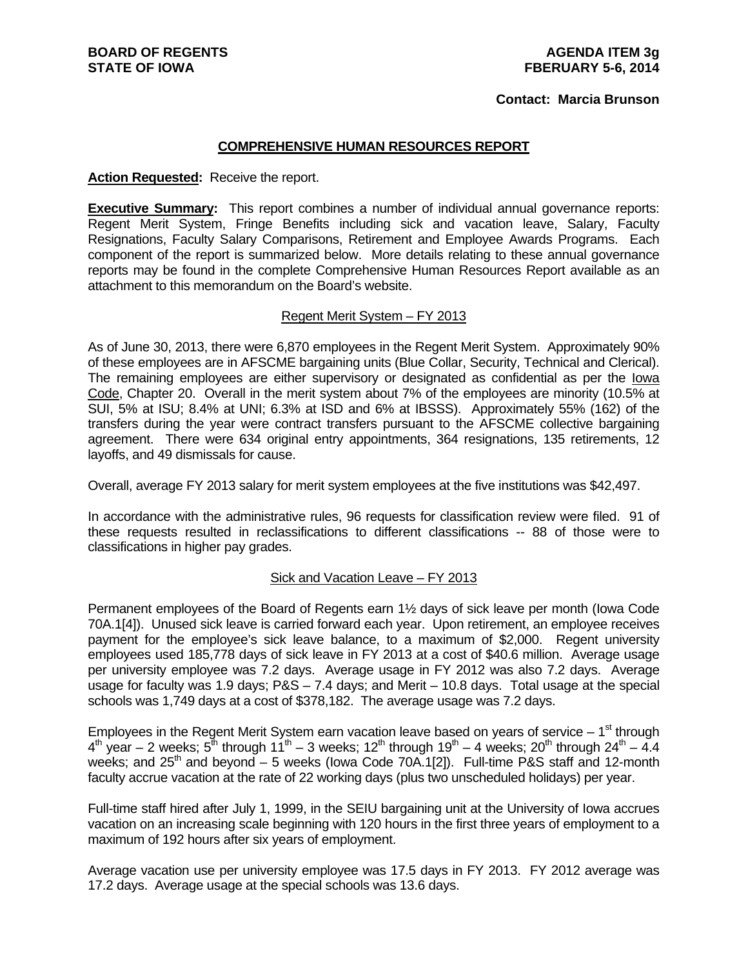### **Contact: Marcia Brunson**

### **COMPREHENSIVE HUMAN RESOURCES REPORT**

### **Action Requested:** Receive the report.

**Executive Summary:** This report combines a number of individual annual governance reports: Regent Merit System, Fringe Benefits including sick and vacation leave, Salary, Faculty Resignations, Faculty Salary Comparisons, Retirement and Employee Awards Programs. Each component of the report is summarized below. More details relating to these annual governance reports may be found in the complete Comprehensive Human Resources Report available as an attachment to this memorandum on the Board's website.

### Regent Merit System – FY 2013

As of June 30, 2013, there were 6,870 employees in the Regent Merit System. Approximately 90% of these employees are in AFSCME bargaining units (Blue Collar, Security, Technical and Clerical). The remaining employees are either supervisory or designated as confidential as per the Iowa Code, Chapter 20. Overall in the merit system about 7% of the employees are minority (10.5% at SUI, 5% at ISU; 8.4% at UNI; 6.3% at ISD and 6% at IBSSS). Approximately 55% (162) of the transfers during the year were contract transfers pursuant to the AFSCME collective bargaining agreement. There were 634 original entry appointments, 364 resignations, 135 retirements, 12 layoffs, and 49 dismissals for cause.

Overall, average FY 2013 salary for merit system employees at the five institutions was \$42,497.

In accordance with the administrative rules, 96 requests for classification review were filed. 91 of these requests resulted in reclassifications to different classifications -- 88 of those were to classifications in higher pay grades.

### Sick and Vacation Leave – FY 2013

Permanent employees of the Board of Regents earn 1½ days of sick leave per month (Iowa Code 70A.1[4]). Unused sick leave is carried forward each year. Upon retirement, an employee receives payment for the employee's sick leave balance, to a maximum of \$2,000. Regent university employees used 185,778 days of sick leave in FY 2013 at a cost of \$40.6 million. Average usage per university employee was 7.2 days. Average usage in FY 2012 was also 7.2 days. Average usage for faculty was 1.9 days; P&S – 7.4 days; and Merit – 10.8 days. Total usage at the special schools was 1,749 days at a cost of \$378,182. The average usage was 7.2 days.

Employees in the Regent Merit System earn vacation leave based on years of service  $-1<sup>st</sup>$  through  $4<sup>th</sup>$  year – 2 weeks;  $5<sup>th</sup>$  through  $11<sup>th</sup>$  – 3 weeks;  $12<sup>th</sup>$  through  $19<sup>th</sup>$  – 4 weeks;  $20<sup>th</sup>$  through  $24<sup>th</sup>$  – 4.4 weeks; and  $25<sup>th</sup>$  and beyond – 5 weeks (lowa Code 70A.1[2]). Full-time P&S staff and 12-month faculty accrue vacation at the rate of 22 working days (plus two unscheduled holidays) per year.

Full-time staff hired after July 1, 1999, in the SEIU bargaining unit at the University of Iowa accrues vacation on an increasing scale beginning with 120 hours in the first three years of employment to a maximum of 192 hours after six years of employment.

Average vacation use per university employee was 17.5 days in FY 2013. FY 2012 average was 17.2 days. Average usage at the special schools was 13.6 days.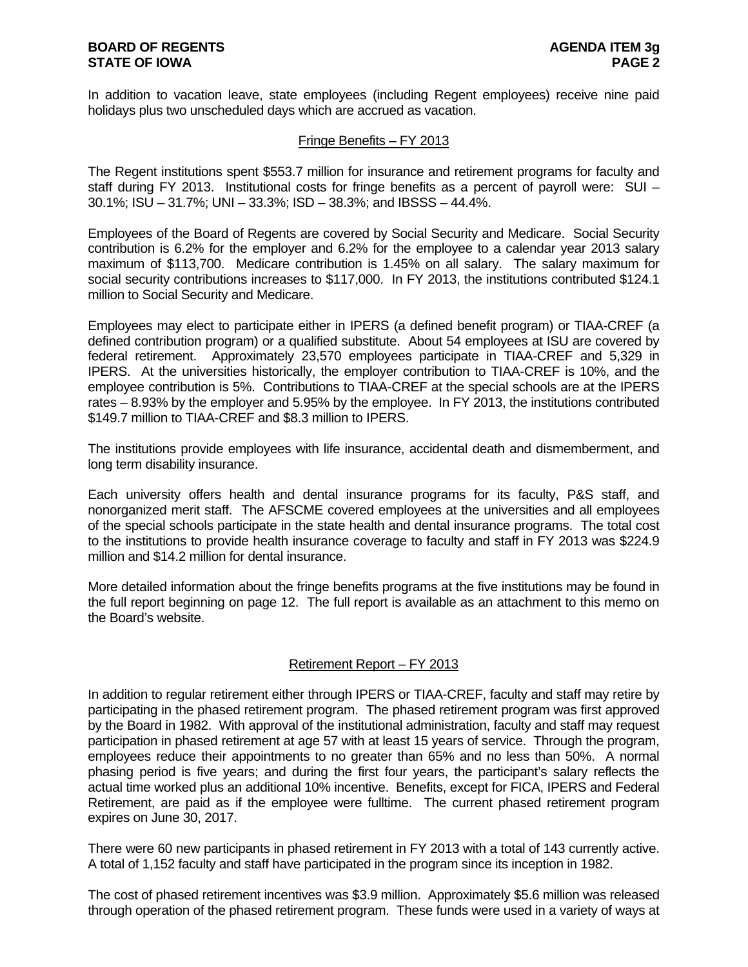In addition to vacation leave, state employees (including Regent employees) receive nine paid holidays plus two unscheduled days which are accrued as vacation.

### Fringe Benefits – FY 2013

The Regent institutions spent \$553.7 million for insurance and retirement programs for faculty and staff during FY 2013. Institutional costs for fringe benefits as a percent of payroll were: SUI – 30.1%; ISU – 31.7%; UNI – 33.3%; ISD – 38.3%; and IBSSS – 44.4%.

Employees of the Board of Regents are covered by Social Security and Medicare. Social Security contribution is 6.2% for the employer and 6.2% for the employee to a calendar year 2013 salary maximum of \$113,700. Medicare contribution is 1.45% on all salary. The salary maximum for social security contributions increases to \$117,000. In FY 2013, the institutions contributed \$124.1 million to Social Security and Medicare.

Employees may elect to participate either in IPERS (a defined benefit program) or TIAA-CREF (a defined contribution program) or a qualified substitute. About 54 employees at ISU are covered by federal retirement. Approximately 23,570 employees participate in TIAA-CREF and 5,329 in IPERS. At the universities historically, the employer contribution to TIAA-CREF is 10%, and the employee contribution is 5%. Contributions to TIAA-CREF at the special schools are at the IPERS rates – 8.93% by the employer and 5.95% by the employee. In FY 2013, the institutions contributed \$149.7 million to TIAA-CREF and \$8.3 million to IPERS.

The institutions provide employees with life insurance, accidental death and dismemberment, and long term disability insurance.

Each university offers health and dental insurance programs for its faculty, P&S staff, and nonorganized merit staff. The AFSCME covered employees at the universities and all employees of the special schools participate in the state health and dental insurance programs. The total cost to the institutions to provide health insurance coverage to faculty and staff in FY 2013 was \$224.9 million and \$14.2 million for dental insurance.

More detailed information about the fringe benefits programs at the five institutions may be found in the full report beginning on page 12. The full report is available as an attachment to this memo on the Board's website.

### Retirement Report – FY 2013

In addition to regular retirement either through IPERS or TIAA-CREF, faculty and staff may retire by participating in the phased retirement program. The phased retirement program was first approved by the Board in 1982. With approval of the institutional administration, faculty and staff may request participation in phased retirement at age 57 with at least 15 years of service. Through the program, employees reduce their appointments to no greater than 65% and no less than 50%. A normal phasing period is five years; and during the first four years, the participant's salary reflects the actual time worked plus an additional 10% incentive. Benefits, except for FICA, IPERS and Federal Retirement, are paid as if the employee were fulltime. The current phased retirement program expires on June 30, 2017.

There were 60 new participants in phased retirement in FY 2013 with a total of 143 currently active. A total of 1,152 faculty and staff have participated in the program since its inception in 1982.

The cost of phased retirement incentives was \$3.9 million. Approximately \$5.6 million was released through operation of the phased retirement program. These funds were used in a variety of ways at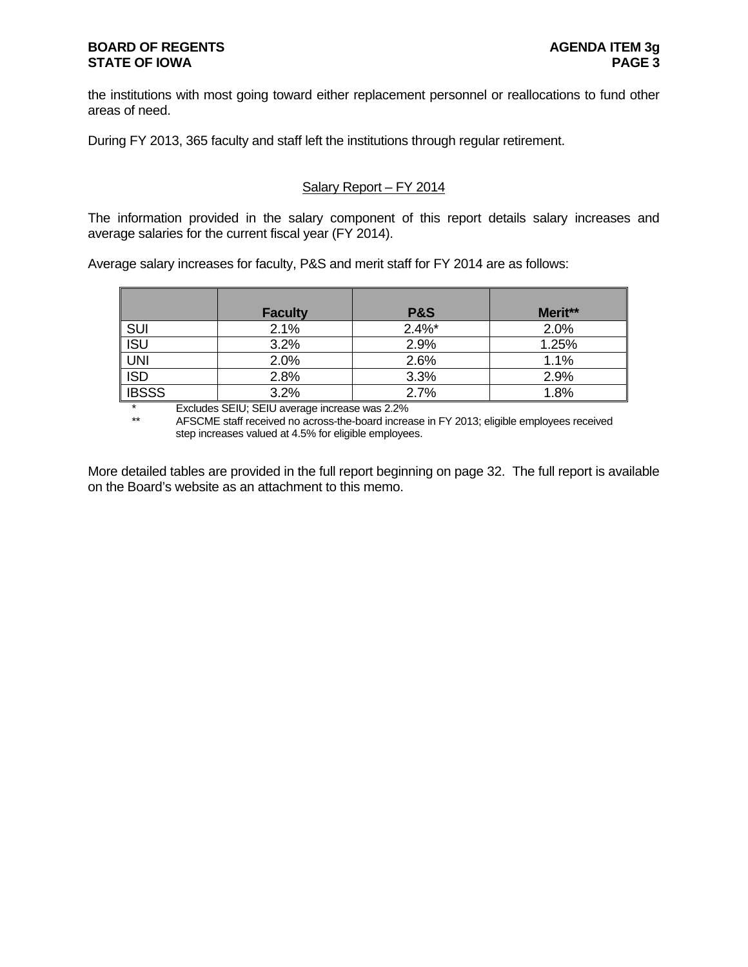the institutions with most going toward either replacement personnel or reallocations to fund other areas of need.

During FY 2013, 365 faculty and staff left the institutions through regular retirement.

### Salary Report – FY 2014

The information provided in the salary component of this report details salary increases and average salaries for the current fiscal year (FY 2014).

Average salary increases for faculty, P&S and merit staff for FY 2014 are as follows:

|                  | <b>Faculty</b> | <b>P&amp;S</b> | Merit** |
|------------------|----------------|----------------|---------|
| SUI              | 2.1%           | $2.4\%$ *      | 2.0%    |
| $\overline{ISU}$ | 3.2%           | 2.9%           | 1.25%   |
| $\frac{LN}{SD}$  | 2.0%           | 2.6%           | 1.1%    |
|                  | 2.8%           | 3.3%           | 2.9%    |
| <b>IBSSS</b>     | 3.2%           | 2.7%           | 1.8%    |

\* Excludes SEIU; SEIU average increase was 2.2%

AFSCME staff received no across-the-board increase in FY 2013; eligible employees received step increases valued at 4.5% for eligible employees.

More detailed tables are provided in the full report beginning on page 32. The full report is available on the Board's website as an attachment to this memo.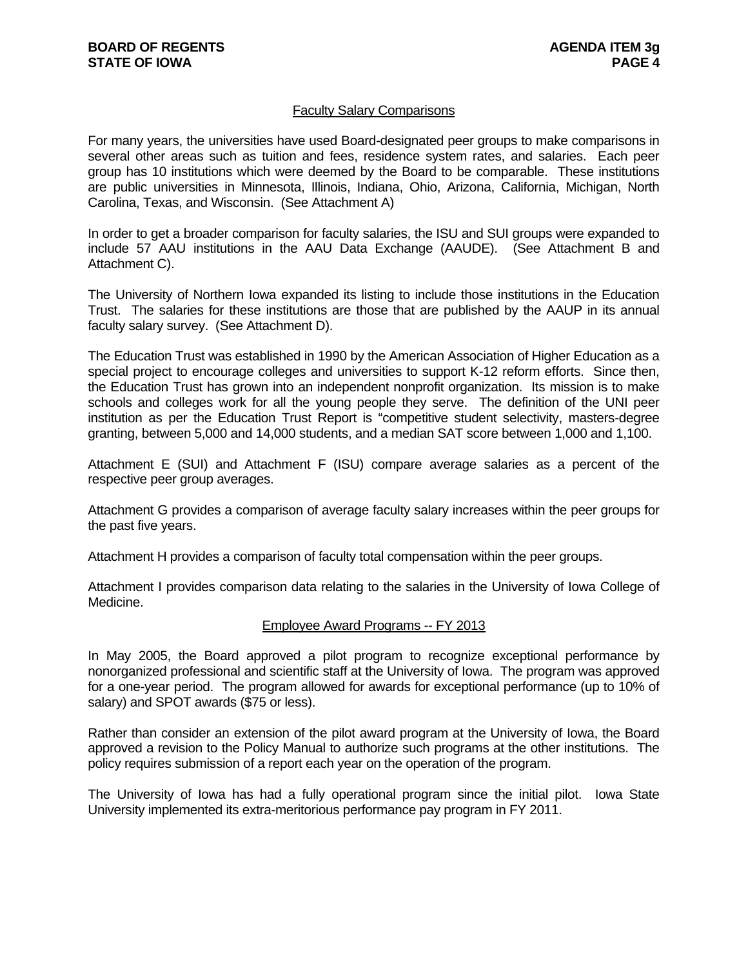### Faculty Salary Comparisons

For many years, the universities have used Board-designated peer groups to make comparisons in several other areas such as tuition and fees, residence system rates, and salaries. Each peer group has 10 institutions which were deemed by the Board to be comparable. These institutions are public universities in Minnesota, Illinois, Indiana, Ohio, Arizona, California, Michigan, North Carolina, Texas, and Wisconsin. (See Attachment A)

In order to get a broader comparison for faculty salaries, the ISU and SUI groups were expanded to include 57 AAU institutions in the AAU Data Exchange (AAUDE). (See Attachment B and Attachment C).

The University of Northern Iowa expanded its listing to include those institutions in the Education Trust. The salaries for these institutions are those that are published by the AAUP in its annual faculty salary survey. (See Attachment D).

The Education Trust was established in 1990 by the American Association of Higher Education as a special project to encourage colleges and universities to support K-12 reform efforts. Since then, the Education Trust has grown into an independent nonprofit organization. Its mission is to make schools and colleges work for all the young people they serve. The definition of the UNI peer institution as per the Education Trust Report is "competitive student selectivity, masters-degree granting, between 5,000 and 14,000 students, and a median SAT score between 1,000 and 1,100.

Attachment E (SUI) and Attachment F (ISU) compare average salaries as a percent of the respective peer group averages.

Attachment G provides a comparison of average faculty salary increases within the peer groups for the past five years.

Attachment H provides a comparison of faculty total compensation within the peer groups.

Attachment I provides comparison data relating to the salaries in the University of Iowa College of Medicine.

### Employee Award Programs -- FY 2013

In May 2005, the Board approved a pilot program to recognize exceptional performance by nonorganized professional and scientific staff at the University of Iowa. The program was approved for a one-year period. The program allowed for awards for exceptional performance (up to 10% of salary) and SPOT awards (\$75 or less).

Rather than consider an extension of the pilot award program at the University of Iowa, the Board approved a revision to the Policy Manual to authorize such programs at the other institutions. The policy requires submission of a report each year on the operation of the program.

The University of Iowa has had a fully operational program since the initial pilot. Iowa State University implemented its extra-meritorious performance pay program in FY 2011.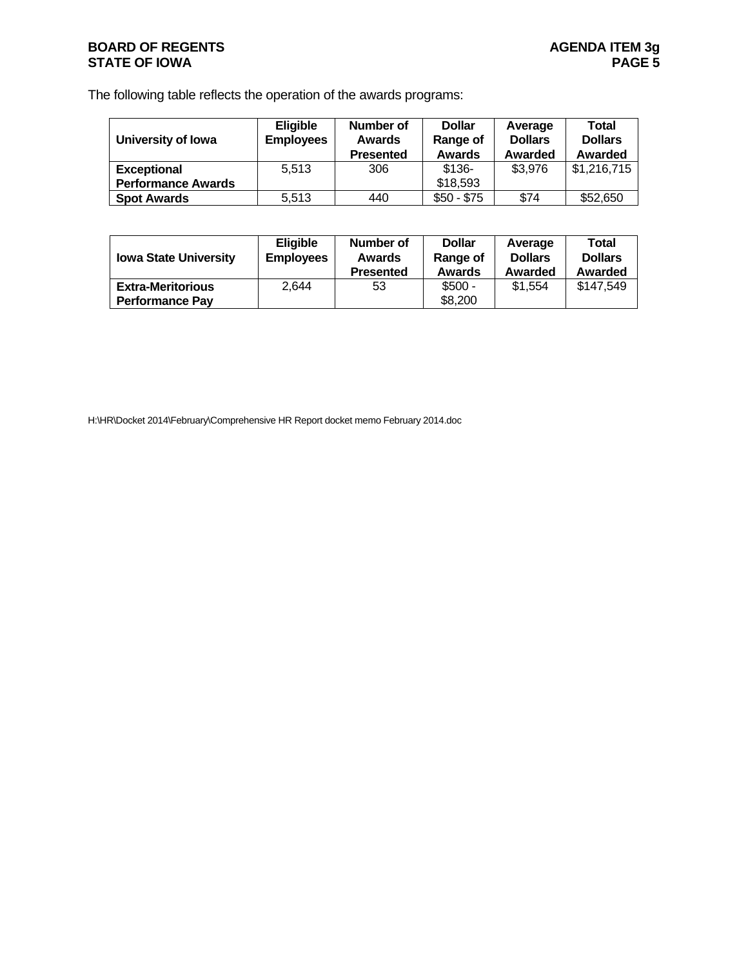### **BOARD OF REGENTS AGENDA ITEM 3g STATE OF IOWA** PAGE 5

The following table reflects the operation of the awards programs:

| University of Iowa        | <b>Eligible</b><br><b>Employees</b> | Number of<br><b>Awards</b><br><b>Presented</b> | <b>Dollar</b><br>Range of<br><b>Awards</b> | Average<br><b>Dollars</b><br>Awarded | Total<br><b>Dollars</b><br>Awarded |
|---------------------------|-------------------------------------|------------------------------------------------|--------------------------------------------|--------------------------------------|------------------------------------|
| <b>Exceptional</b>        | 5.513                               | 306                                            | $$136-$                                    | \$3,976                              | \$1,216,715                        |
| <b>Performance Awards</b> |                                     |                                                | \$18,593                                   |                                      |                                    |
| <b>Spot Awards</b>        | 5.513                               | 440                                            | $$50 - $75$                                | \$74                                 | \$52,650                           |

| <b>Iowa State University</b>                       | <b>Eligible</b><br><b>Employees</b> | Number of<br>Awards<br><b>Presented</b> | <b>Dollar</b><br>Range of<br><b>Awards</b> | Average<br><b>Dollars</b><br>Awarded | Total<br><b>Dollars</b><br>Awarded |
|----------------------------------------------------|-------------------------------------|-----------------------------------------|--------------------------------------------|--------------------------------------|------------------------------------|
| <b>Extra-Meritorious</b><br><b>Performance Pav</b> | 2.644                               | 53                                      | $$500 -$<br>\$8,200                        | \$1.554                              | \$147,549                          |
|                                                    |                                     |                                         |                                            |                                      |                                    |

H:\HR\Docket 2014\February\Comprehensive HR Report docket memo February 2014.doc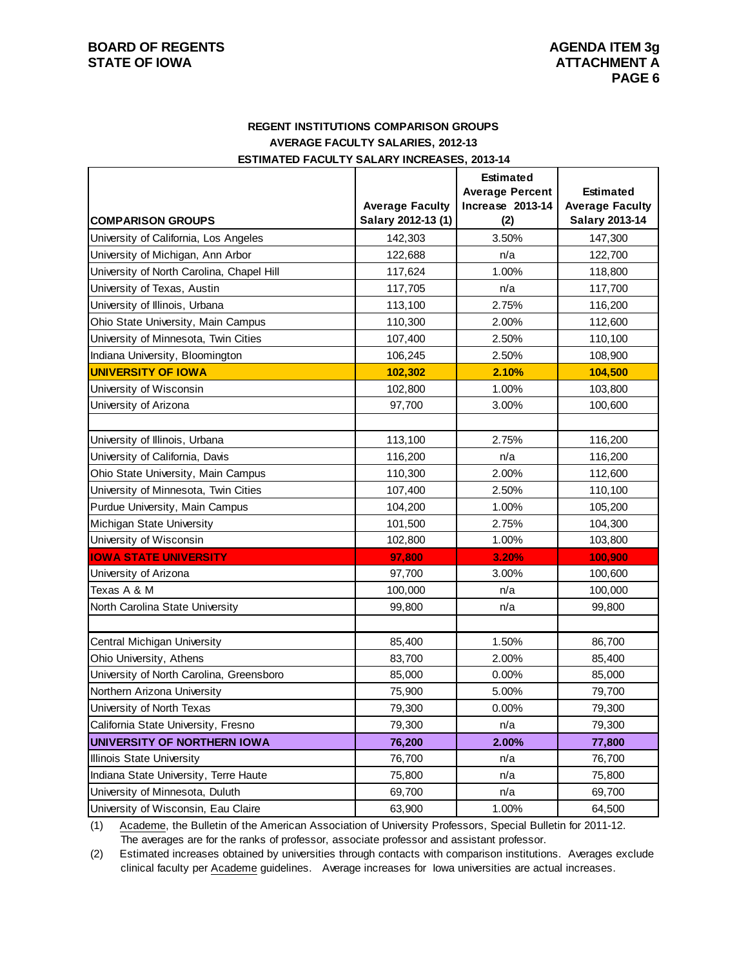### **REGENT INSTITUTIONS COMPARISON GROUPS AVERAGE FACULTY SALARIES, 2012-13 ESTIMATED FACULTY SALARY INCREASES, 2013-14**

|                                           |                                              | <b>Estimated</b>        |                                                 |
|-------------------------------------------|----------------------------------------------|-------------------------|-------------------------------------------------|
|                                           |                                              | <b>Average Percent</b>  | <b>Estimated</b>                                |
| <b>COMPARISON GROUPS</b>                  | <b>Average Faculty</b><br>Salary 2012-13 (1) | Increase 2013-14<br>(2) | <b>Average Faculty</b><br><b>Salary 2013-14</b> |
| University of California, Los Angeles     | 142,303                                      | 3.50%                   | 147,300                                         |
| University of Michigan, Ann Arbor         | 122,688                                      | n/a                     | 122,700                                         |
| University of North Carolina, Chapel Hill | 117,624                                      | 1.00%                   | 118,800                                         |
| University of Texas, Austin               | 117,705                                      | n/a                     | 117,700                                         |
| University of Illinois, Urbana            | 113,100                                      | 2.75%                   | 116,200                                         |
| Ohio State University, Main Campus        | 110,300                                      | 2.00%                   | 112,600                                         |
| University of Minnesota, Twin Cities      | 107,400                                      | 2.50%                   | 110,100                                         |
| Indiana University, Bloomington           | 106,245                                      | 2.50%                   | 108,900                                         |
| <b>UNIVERSITY OF IOWA</b>                 | 102,302                                      | 2.10%                   | 104,500                                         |
| University of Wisconsin                   | 102,800                                      | 1.00%                   | 103,800                                         |
| University of Arizona                     | 97,700                                       | 3.00%                   | 100,600                                         |
|                                           |                                              |                         |                                                 |
| University of Illinois, Urbana            | 113,100                                      | 2.75%                   | 116,200                                         |
| University of California, Davis           | 116,200                                      | n/a                     | 116,200                                         |
| Ohio State University, Main Campus        | 110,300                                      | 2.00%                   | 112,600                                         |
| University of Minnesota, Twin Cities      | 107,400                                      | 2.50%                   | 110,100                                         |
| Purdue University, Main Campus            | 104,200                                      | 1.00%                   | 105,200                                         |
| Michigan State University                 | 101,500                                      | 2.75%                   | 104,300                                         |
| University of Wisconsin                   | 102,800                                      | 1.00%                   | 103,800                                         |
| <b>IOWA STATE UNIVERSITY</b>              | 97,800                                       | 3.20%                   | 100,900                                         |
| University of Arizona                     | 97,700                                       | 3.00%                   | 100,600                                         |
| Texas A & M                               | 100,000                                      | n/a                     | 100,000                                         |
| North Carolina State University           | 99,800                                       | n/a                     | 99,800                                          |
|                                           |                                              |                         |                                                 |
| Central Michigan University               | 85,400                                       | 1.50%                   | 86,700                                          |
| Ohio University, Athens                   | 83,700                                       | 2.00%                   | 85,400                                          |
| University of North Carolina, Greensboro  | 85,000                                       | 0.00%                   | 85,000                                          |
| Northern Arizona University               | 75,900                                       | 5.00%                   | 79,700                                          |
| University of North Texas                 | 79,300                                       | 0.00%                   | 79,300                                          |
| California State University, Fresno       | 79,300                                       | n/a                     | 79,300                                          |
| UNIVERSITY OF NORTHERN IOWA               | 76,200                                       | 2.00%                   | 77,800                                          |
| Illinois State University                 | 76,700                                       | n/a                     | 76,700                                          |
| Indiana State University, Terre Haute     | 75,800                                       | n/a                     | 75,800                                          |
| University of Minnesota, Duluth           | 69,700                                       | n/a                     | 69,700                                          |
| University of Wisconsin, Eau Claire       | 63,900                                       | 1.00%                   | 64,500                                          |

(1) Academe, the Bulletin of the American Association of University Professors, Special Bulletin for 2011-12. The averages are for the ranks of professor, associate professor and assistant professor.

(2) Estimated increases obtained by universities through contacts with comparison institutions. Averages exclude clinical faculty per Academe guidelines. Average increases for Iowa universities are actual increases.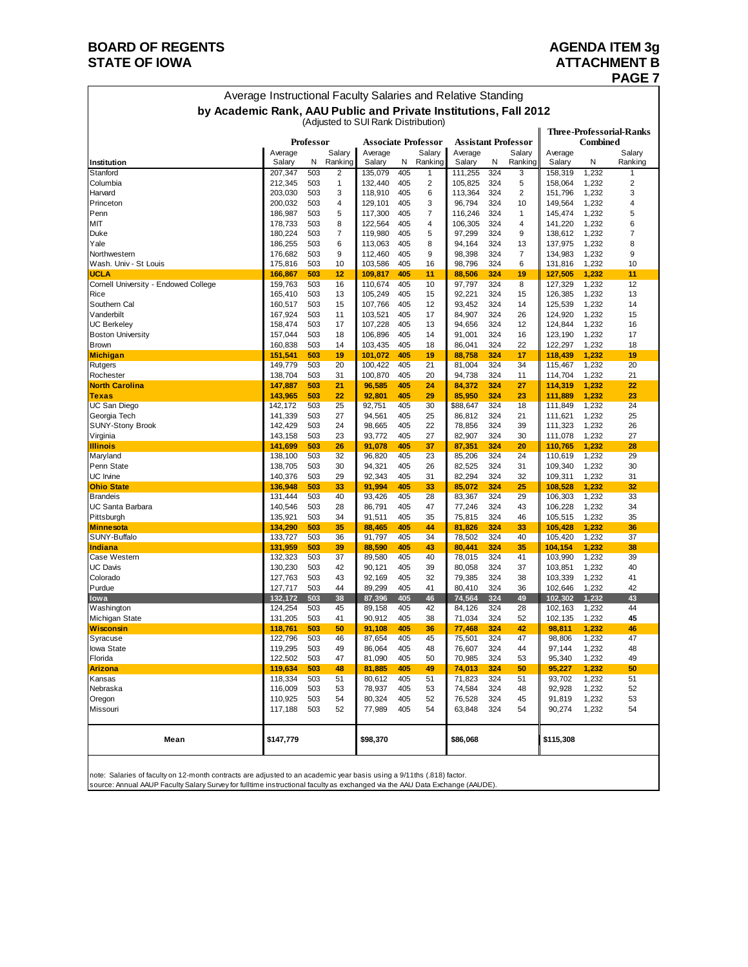## **BOARD OF REGENTS BOARD OF REGENTS**

### **STATE OF IOWA** ATTACHMENT B<br>PAGE 7  **PAGE 7**

| Average Instructional Faculty Salaries and Relative Standing     |                    |            |                   |                                     |            |                   |                   |            |                            |                    |                 |                          |
|------------------------------------------------------------------|--------------------|------------|-------------------|-------------------------------------|------------|-------------------|-------------------|------------|----------------------------|--------------------|-----------------|--------------------------|
| by Academic Rank, AAU Public and Private Institutions, Fall 2012 |                    |            |                   | (Adjusted to SUI Rank Distribution) |            |                   |                   |            |                            |                    |                 |                          |
|                                                                  |                    | Professor  |                   | <b>Associate Professor</b>          |            |                   |                   |            | <b>Assistant Professor</b> |                    | <b>Combined</b> | Three-Professorial-Ranks |
| Institution                                                      | Average<br>Salary  | N          | Salary<br>Ranking | Average<br>Salary                   | N          | Salary<br>Ranking | Average<br>Salary | N          | Salary<br>Ranking          | Average<br>Salary  | Ν               | Salary<br>Ranking        |
| Stanford                                                         | 207,347            | 503        | 2                 | 135,079                             | 405        | 1                 | 111,255           | 324        | 3                          | 158,319            | 1,232           | 1                        |
| Columbia                                                         | 212,345            | 503        | 1                 | 132,440                             | 405        | $\overline{2}$    | 105,825           | 324        | 5                          | 158,064            | 1,232           | $\overline{c}$           |
| Harvard                                                          | 203,030            | 503        | 3                 | 118,910                             | 405        | 6                 | 113,364           | 324        | $\overline{2}$             | 151,796            | 1,232           | 3                        |
| Princeton                                                        | 200,032            | 503        | 4                 | 129,101                             | 405        | 3                 | 96,794            | 324        | 10                         | 149,564            | 1,232           | 4                        |
| Penn                                                             | 186,987            | 503        | 5                 | 117,300                             | 405        | 7                 | 116,246           | 324        | 1                          | 145,474            | 1,232           | 5                        |
| MIT                                                              | 178,733            | 503        | 8                 | 122,564                             | 405        | 4                 | 106,305           | 324        | 4                          | 141,220            | 1,232           | 6                        |
| Duke                                                             | 180,224            | 503        | 7                 | 119,980                             | 405        | 5                 | 97,299            | 324        | 9                          | 138,612            | 1,232           | 7                        |
| Yale                                                             | 186,255            | 503        | 6                 | 113,063                             | 405        | 8                 | 94,164            | 324        | 13                         | 137,975            | 1,232           | 8                        |
| Northwestern                                                     | 176,682            | 503        | 9                 | 112,460                             | 405        | 9                 | 98,398            | 324        | 7                          | 134,983            | 1,232           | 9                        |
| Wash. Univ - St Louis<br><b>UCLA</b>                             | 175,816            | 503<br>503 | 10<br>12          | 103,586                             | 405<br>405 | 16<br>11          | 98,796            | 324<br>324 | 6<br>19                    | 131,816<br>127,505 | 1,232<br>1,232  | 10<br>11                 |
| Cornell University - Endowed College                             | 166,867<br>159,763 | 503        | 16                | 109,817<br>110,674                  | 405        | 10                | 88,506<br>97,797  | 324        | 8                          | 127,329            | 1,232           | 12                       |
| Rice                                                             | 165,410            | 503        | 13                | 105,249                             | 405        | 15                | 92,221            | 324        | 15                         | 126,385            | 1,232           | 13                       |
| Southern Cal                                                     | 160,517            | 503        | 15                | 107,766                             | 405        | 12                | 93,452            | 324        | 14                         | 125,539            | 1,232           | 14                       |
| Vanderbilt                                                       | 167,924            | 503        | 11                | 103,521                             | 405        | 17                | 84,907            | 324        | 26                         | 124,920            | 1,232           | 15                       |
| <b>UC Berkeley</b>                                               | 158,474            | 503        | 17                | 107,228                             | 405        | 13                | 94,656            | 324        | 12                         | 124,844            | 1,232           | 16                       |
| <b>Boston University</b>                                         | 157,044            | 503        | 18                | 106,896                             | 405        | 14                | 91,001            | 324        | 16                         | 123,190            | 1,232           | 17                       |
| <b>Brown</b>                                                     | 160,838            | 503        | 14                | 103,435                             | 405        | 18                | 86,041            | 324        | 22                         | 122,297            | 1,232           | 18                       |
| Michigan                                                         | 151,541            | 503        | 19                | 101,072                             | 405        | 19                | 88,758            | 324        | 17                         | 118,439            | 1,232           | 19                       |
| Rutgers                                                          | 149,779            | 503        | 20                | 100,422                             | 405        | 21                | 81,004            | 324        | 34                         | 115,467            | 1,232           | 20                       |
| Rochester                                                        | 138,704            | 503        | 31                | 100,870                             | 405        | 20                | 94,738            | 324        | 11                         | 114,704            | 1,232           | 21                       |
| <b>North Carolina</b>                                            | 147,887            | 503        | 21                | 96,585                              | 405        | 24                | 84,372            | 324        | 27                         | 114,319            | 1,232           | 22                       |
| <b>Texas</b>                                                     | 143,965            | 503        | 22                | 92,801                              | 405        | 29                | 85,950            | 324        | 23                         | 111.889            | 1,232           | 23                       |
| <b>UC San Diego</b>                                              | 142,172            | 503        | 25                | 92,751                              | 405        | 30                | \$88,647          | 324        | 18                         | 111,849            | 1,232           | 24                       |
| Georgia Tech<br><b>SUNY-Stony Brook</b>                          | 141,339<br>142,429 | 503<br>503 | 27<br>24          | 94,561<br>98,665                    | 405<br>405 | 25<br>22          | 86,812<br>78,856  | 324<br>324 | 21<br>39                   | 111,621<br>111,323 | 1,232<br>1,232  | 25<br>26                 |
| Virginia                                                         | 143,158            | 503        | 23                | 93,772                              | 405        | 27                | 82,907            | 324        | 30                         | 111,078            | 1,232           | 27                       |
| <b>Illinois</b>                                                  | 141,699            | 503        | 26                | 91,078                              | 405        | 37                | 87,351            | 324        | 20                         | 110,765            | 1,232           | 28                       |
| Maryland                                                         | 138,100            | 503        | 32                | 96,820                              | 405        | 23                | 85,206            | 324        | 24                         | 110,619            | 1,232           | 29                       |
| Penn State                                                       | 138,705            | 503        | 30                | 94,321                              | 405        | 26                | 82,525            | 324        | 31                         | 109,340            | 1,232           | 30                       |
| <b>UC</b> Irvine                                                 | 140,376            | 503        | 29                | 92,343                              | 405        | 31                | 82,294            | 324        | 32                         | 109,311            | 1,232           | 31                       |
| <b>Ohio State</b>                                                | 136,948            | 503        | 33                | 91,994                              | 405        | 33                | 85,072            | 324        | 25                         | 108,528            | 1,232           | 32                       |
| <b>Brandeis</b>                                                  | 131,444            | 503        | 40                | 93,426                              | 405        | 28                | 83,367            | 324        | 29                         | 106,303            | 1,232           | 33                       |
| <b>UC Santa Barbara</b>                                          | 140,546            | 503        | 28                | 86,791                              | 405        | 47                | 77,246            | 324        | 43                         | 106,228            | 1,232           | 34                       |
| Pittsburgh                                                       | 135,921            | 503        | 34                | 91,511                              | 405        | 35                | 75,815            | 324        | 46                         | 105,515            | 1,232           | 35                       |
| <b>Minnesota</b>                                                 | 134,290            | 503        | 35                | 88,465                              | 405        | 44                | 81,826            | 324        | 33                         | 105,428            | 1,232           | 36                       |
| SUNY-Buffalo                                                     | 133,727            | 503        | 36                | 91,797                              | 405        | 34                | 78,502            | 324        | 40                         | 105,420            | 1,232           | 37                       |
| Indiana<br>Case Western                                          | 131,959<br>132,323 | 503<br>503 | 39<br>37          | 88,590<br>89,580                    | 405<br>405 | 43<br>40          | 80,441<br>78,015  | 324<br>324 | 35<br>41                   | 104,154<br>103,990 | 1,232<br>1,232  | 38<br>39                 |
| <b>UC Davis</b>                                                  | 130,230            | 503        | 42                | 90.121                              | 405        | 39                | 80,058            | 324        | 37                         | 103,851            | 1,232           | 40                       |
| Colorado                                                         | 127,763            | 503        | 43                | 92,169                              | 405        | 32                | 79,385            | 324        | 38                         | 103,339            | 1,232           | 41                       |
| Purdue                                                           | 127,717            | 503        | 44                | 89,299                              | 405        | 41                | 80,410            | 324        | 36                         | 102,646            | 1,232           | 42                       |
| lowa                                                             | 132,172            | 503        | 38                | 87,396                              | 405        | 46                | 74,564            | 324        | 49                         | 102,302            | 1,232           | 43                       |
| Washington                                                       | 124,254            | 503        | 45                | 89,158                              | 405        | 42                | 84,126            | 324        | 28                         | 102.163            | 1,232           | 44                       |
| Michigan State                                                   | 131,205            | 503        | 41                | 90,912                              | 405        | 38                | 71,034            | 324        | 52                         | 102,135            | 1,232           | 45                       |
| Wisconsin                                                        | 118,761            | 503        | 50                | 91.108                              | 405        | 36                | 77,468            | 324        | 42                         | 98,811             | 1,232           | 46                       |
| Syracuse                                                         | 122,796            | 503        | 46                | 87,654                              | 405        | 45                | 75,501            | 324        | 47                         | 98,806             | 1,232           | 47                       |
| Iowa State                                                       | 119,295            | 503        | 49                | 86,064                              | 405        | 48                | 76,607            | 324        | 44                         | 97,144             | 1,232           | 48                       |
| Florida                                                          | 122,502            | 503        | 47                | 81,090                              | 405        | 50                | 70,985            | 324        | 53                         | 95,340             | 1,232           | 49                       |
| Arizona                                                          | 119,634            | 503        | 48                | 81,885                              | 405        | 49                | 74,013            | 324        | 50                         | 95,227             | 1,232           | 50                       |
| Kansas                                                           | 118,334            | 503        | 51                | 80,612                              | 405        | 51                | 71,823            | 324        | 51                         | 93,702             | 1,232           | 51                       |
| Nebraska                                                         | 116,009<br>110,925 | 503        | 53                | 78,937                              | 405        | 53                | 74,584            | 324        | 48                         | 92,928             | 1,232           | 52                       |
| Oregon<br>Missouri                                               | 117,188            | 503<br>503 | 54<br>52          | 80,324<br>77,989                    | 405<br>405 | 52<br>54          | 76,528<br>63,848  | 324<br>324 | 45<br>54                   | 91,819<br>90,274   | 1,232<br>1,232  | 53<br>54                 |
|                                                                  |                    |            |                   |                                     |            |                   |                   |            |                            |                    |                 |                          |
| Mean                                                             | \$147,779          |            |                   | \$98,370                            |            |                   | \$86,068          |            |                            | \$115,308          |                 |                          |
|                                                                  |                    |            |                   |                                     |            |                   |                   |            |                            |                    |                 |                          |

note: Salaries of faculty on 12-month contracts are adjusted to an academic year basis using a 9/11ths (.818) factor.<br>source: Annual AAUP Faculty Salary Survey for fulltime instructional faculty as exchanged via the AAU D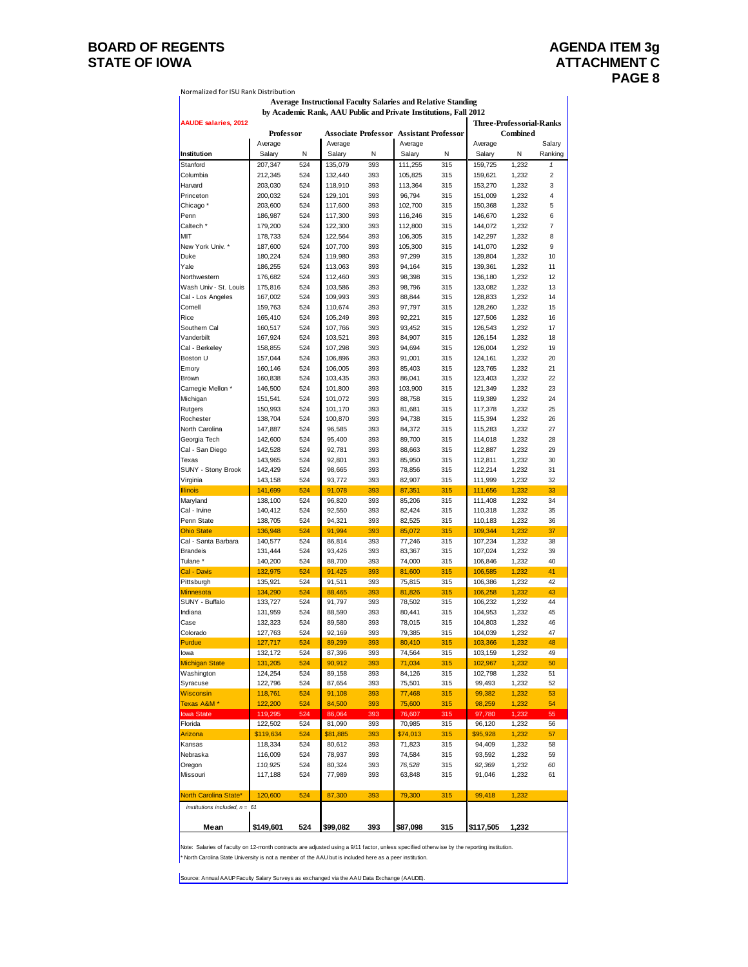### **BOARD OF REGENTS AGENDA ITEM 3g** STATE OF IOWA **ATTACHMENT C**

| Normalized for ISU Rank Distribution |                    |            |                                                                     |            |                                                           |            |                                 |                |              |
|--------------------------------------|--------------------|------------|---------------------------------------------------------------------|------------|-----------------------------------------------------------|------------|---------------------------------|----------------|--------------|
|                                      |                    |            | <b>Average Instructional Faculty Salaries and Relative Standing</b> |            |                                                           |            |                                 |                |              |
|                                      |                    |            | by Academic Rank, AAU Public and Private Institutions, Fall 2012    |            |                                                           |            |                                 |                |              |
| <b>AAUDE salaries, 2012</b>          | Professor          |            |                                                                     |            |                                                           |            | <b>Three-Professorial-Ranks</b> |                |              |
|                                      | Average            |            | Average                                                             |            | <b>Associate Professor Assistant Professor</b><br>Average |            | Average                         | Combined       | Salary       |
| Institution                          | Salary             | N          | Salary                                                              | N          | Salary                                                    | N          | Salary                          | Ν              | Ranking      |
| Stanford                             | 207,347            | 524        | 135,079                                                             | 393        | 111,255                                                   | 315        | 159,725                         | 1,232          | $\mathbf{1}$ |
| Columbia                             | 212,345            | 524        | 132,440                                                             | 393        | 105,825                                                   | 315        | 159,621                         | 1,232          | 2            |
| Harvard                              | 203,030            | 524        | 118,910                                                             | 393        | 113,364                                                   | 315        | 153,270                         | 1,232          | 3            |
| Princeton                            | 200,032            | 524        | 129,101                                                             | 393        | 96,794                                                    | 315        | 151,009                         | 1,232          | 4            |
| Chicago <sup>*</sup>                 | 203,600            | 524        | 117,600                                                             | 393        | 102,700                                                   | 315        | 150,368                         | 1,232          | 5            |
| Penn                                 | 186,987            | 524        | 117,300                                                             | 393        | 116,246                                                   | 315        | 146,670                         | 1,232          | 6            |
| Caltech <sup>*</sup>                 | 179,200            | 524        | 122,300                                                             | 393        | 112,800                                                   | 315        | 144,072                         | 1,232          | 7            |
| MIT                                  | 178,733            | 524        | 122,564                                                             | 393        | 106,305                                                   | 315        | 142,297                         | 1,232          | 8            |
| New York Univ. *<br>Duke             | 187,600<br>180,224 | 524<br>524 | 107,700<br>119,980                                                  | 393<br>393 | 105,300<br>97,299                                         | 315<br>315 | 141,070<br>139,804              | 1,232<br>1,232 | 9<br>10      |
| Yale                                 | 186,255            | 524        | 113,063                                                             | 393        | 94,164                                                    | 315        | 139,361                         | 1,232          | 11           |
| Northwestern                         | 176,682            | 524        | 112,460                                                             | 393        | 98,398                                                    | 315        | 136,180                         | 1,232          | 12           |
| Wash Univ - St. Louis                | 175,816            | 524        | 103,586                                                             | 393        | 98,796                                                    | 315        | 133,082                         | 1,232          | 13           |
| Cal - Los Angeles                    | 167,002            | 524        | 109,993                                                             | 393        | 88,844                                                    | 315        | 128,833                         | 1,232          | 14           |
| Cornell                              | 159,763            | 524        | 110,674                                                             | 393        | 97,797                                                    | 315        | 128,260                         | 1,232          | 15           |
| Rice                                 | 165,410            | 524        | 105,249                                                             | 393        | 92,221                                                    | 315        | 127,506                         | 1,232          | 16           |
| Southern Cal                         | 160,517            | 524        | 107,766                                                             | 393        | 93,452                                                    | 315        | 126,543                         | 1,232          | 17           |
| Vanderbilt                           | 167,924            | 524        | 103,521                                                             | 393        | 84,907                                                    | 315        | 126,154                         | 1,232          | 18           |
| Cal - Berkeley                       | 158,855            | 524        | 107,298                                                             | 393        | 94,694                                                    | 315        | 126,004                         | 1,232          | 19           |
| Boston U<br>Emory                    | 157,044<br>160,146 | 524<br>524 | 106,896<br>106,005                                                  | 393<br>393 | 91,001<br>85,403                                          | 315<br>315 | 124,161<br>123,765              | 1,232          | 20<br>21     |
| Brown                                | 160,838            | 524        | 103,435                                                             | 393        | 86,041                                                    | 315        | 123,403                         | 1,232<br>1,232 | 22           |
| Carnegie Mellon *                    | 146,500            | 524        | 101,800                                                             | 393        | 103,900                                                   | 315        | 121,349                         | 1,232          | 23           |
| Michigan                             | 151,541            | 524        | 101,072                                                             | 393        | 88,758                                                    | 315        | 119,389                         | 1,232          | 24           |
| Rutgers                              | 150,993            | 524        | 101,170                                                             | 393        | 81,681                                                    | 315        | 117,378                         | 1,232          | 25           |
| Rochester                            | 138,704            | 524        | 100,870                                                             | 393        | 94,738                                                    | 315        | 115,394                         | 1,232          | 26           |
| North Carolina                       | 147,887            | 524        | 96,585                                                              | 393        | 84,372                                                    | 315        | 115,283                         | 1,232          | 27           |
| Georgia Tech                         | 142,600            | 524        | 95,400                                                              | 393        | 89,700                                                    | 315        | 114,018                         | 1,232          | 28           |
| Cal - San Diego                      | 142,528            | 524        | 92,781                                                              | 393        | 88,663                                                    | 315        | 112,887                         | 1,232          | 29           |
| Texas                                | 143,965            | 524        | 92,801                                                              | 393        | 85,950                                                    | 315        | 112,811                         | 1,232          | 30           |
| <b>SUNY - Stony Brook</b>            | 142,429            | 524        | 98,665                                                              | 393        | 78,856                                                    | 315        | 112,214                         | 1,232          | 31           |
| Virginia<br><b>Illinois</b>          | 143,158<br>141,699 | 524<br>524 | 93,772<br>91,078                                                    | 393<br>393 | 82,907<br>87,351                                          | 315<br>315 | 111,999<br>111,656              | 1,232<br>1,232 | 32<br>33     |
| Maryland                             | 138,100            | 524        | 96,820                                                              | 393        | 85,206                                                    | 315        | 111,408                         | 1,232          | 34           |
| Cal - Irvine                         | 140,412            | 524        | 92,550                                                              | 393        | 82,424                                                    | 315        | 110,318                         | 1,232          | 35           |
| Penn State                           | 138,705            | 524        | 94,321                                                              | 393        | 82,525                                                    | 315        | 110,183                         | 1,232          | 36           |
| <b>Ohio State</b>                    | 136,948            | 524        | 91,994                                                              | 393        | 85,072                                                    | 315        | 109,344                         | 1,232          | 37           |
| Cal - Santa Barbara                  | 140,577            | 524        | 86,814                                                              | 393        | 77,246                                                    | 315        | 107,234                         | 1,232          | 38           |
| <b>Brandeis</b>                      | 131,444            | 524        | 93,426                                                              | 393        | 83,367                                                    | 315        | 107,024                         | 1,232          | 39           |
| Tulane <sup>*</sup>                  | 140,200            | 524        | 88,700                                                              | 393        | 74,000                                                    | 315        | 106,846                         | 1,232          | 40           |
| Cal - Davis                          | 132,975            | 524        | 91,425                                                              | 393        | 81,600                                                    | 315        | 106,585                         | 1,232          | 41           |
| Pittsburgh<br>Minnesota              | 135,921<br>134,290 | 524<br>524 | 91,511<br>88,465                                                    | 393<br>393 | 75,815<br>81,826                                          | 315<br>315 | 106,386<br>106,258              | 1,232<br>1,232 | 42<br>43     |
| SUNY - Buffalo                       | 133,727            | 524        | 91,797                                                              | 393        | 78,502                                                    | 315        | 106,232                         | 1,232          | 44           |
| Indiana                              | 131,959            | 524        | 88,590                                                              | 393        | 80,441                                                    | 315        | 104,953                         | 1,232          | 45           |
| Case                                 | 132,323            | 524        | 89,580                                                              | 393        | 78,015                                                    | 315        | 104,803                         | 1,232          | 46           |
| Colorado                             | 127,763            | 524        | 92,169                                                              | 393        | 79,385                                                    | 315        | 104,039                         | 1,232          | 47           |
| Purdue                               | 127,717            | 524        | 89,299                                                              | 393        | 80,410                                                    | 315        | 103,366                         | 1,232          | 48           |
| lowa                                 | 132, 172           | 524        | 87,396                                                              | 393        | 74,564                                                    | 315        | 103,159                         | 1,232          | 49           |
| <b>Michigan State</b>                | 131,205            | 524        | 90,912                                                              | 393        | 71,034                                                    | 315        | 102,967                         | 1,232          | 50           |
| Washington                           | 124,254            | 524        | 89,158                                                              | 393        | 84,126                                                    | 315        | 102,798                         | 1,232          | 51           |
| Syracuse                             | 122,796            | 524        | 87,654                                                              | 393        | 75,501                                                    | 315        | 99,493                          | 1,232          | 52           |
| <b>Wisconsin</b><br>Texas A&M *      | 118,761<br>122,200 | 524<br>524 | 91,108<br>84,500                                                    | 393<br>393 | 77,468                                                    | 315<br>315 | 99,382<br>98,259                | 1,232<br>1,232 | 53<br>54     |
| lowa State                           | 119,295            | 524        | 86,064                                                              | 393        | 75,600<br>76,607                                          | 315        | 97,780                          | 1,232          | 55           |
| Florida                              | 122,502            | 524        | 81,090                                                              | 393        | 70,985                                                    | 315        | 96,120                          | 1,232          | 56           |
| Arizona                              | \$119,634          | 524        | \$81,885                                                            | 393        | \$74,013                                                  | 315        | \$95,928                        | 1,232          | 57           |
| Kansas                               | 118,334            | 524        | 80,612                                                              | 393        | 71,823                                                    | 315        | 94,409                          | 1,232          | 58           |
| Nebraska                             | 116,009            | 524        | 78,937                                                              | 393        | 74,584                                                    | 315        | 93,592                          | 1,232          | 59           |
| Oregon                               | 110,925            | 524        | 80,324                                                              | 393        | 76,528                                                    | 315        | 92,369                          | 1,232          | 60           |
| Missouri                             | 117,188            | 524        | 77,989                                                              | 393        | 63,848                                                    | 315        | 91,046                          | 1,232          | 61           |
|                                      |                    |            |                                                                     |            |                                                           |            |                                 |                |              |
| North Carolina State*                | 120,600            | 524        | 87,300                                                              | 393        | 79,300                                                    | 315        | 99,418                          | 1,232          |              |
| institutions included, $n = 61$      |                    |            |                                                                     |            |                                                           |            |                                 |                |              |
| Mean                                 | \$149,601          | 524        | \$99,082                                                            | 393        | \$87,098                                                  | 315        | \$117,505                       | 1,232          |              |

Note: Salaries of faculty on 12-month contracts are adjusted using a 9/11 factor, unless specified otherw ise by the reporting institution. \* North Carolina State University is not a member of the AAU but is included here as a peer institution.

Source: Annual AAUP Faculty Salary Surveys as exchanged via the AAU Data Exchange (AAUDE).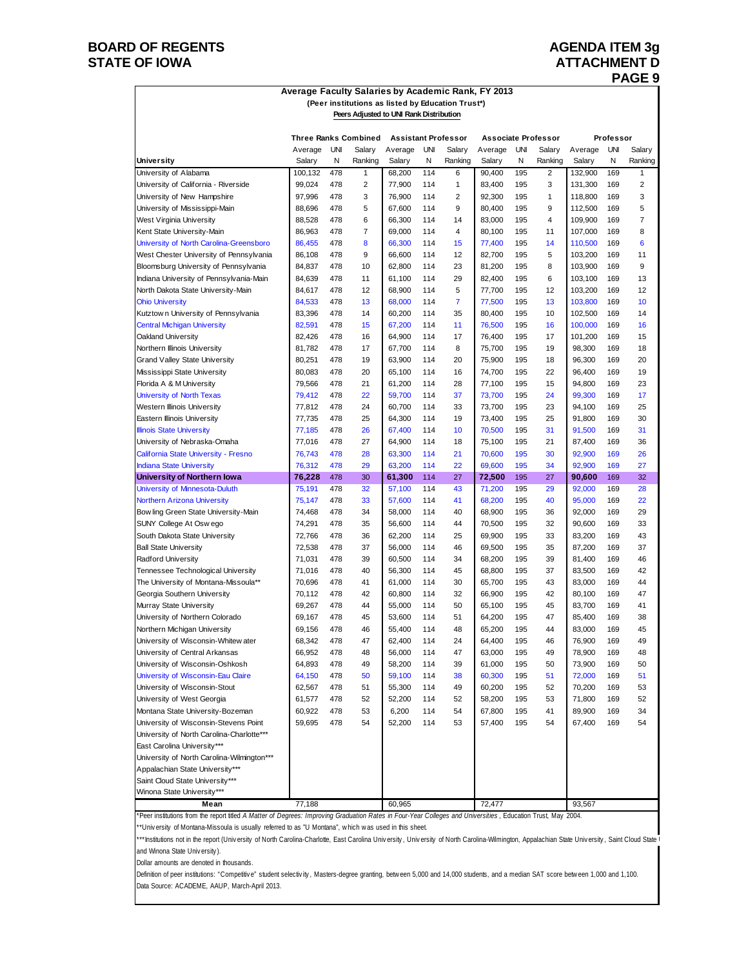### **BOARD OF REGENTS AGENDA ITEM 3g STATE OF IOWA ATTACHMENT D**

# **PAGE 9**

#### **Average Faculty Salaries by Academic Rank, FY 2013 (Peer institutions as listed by Education Trust\*) Peers Adjusted to UNI Rank Distribution**

|                                            |                   |          | <b>Three Ranks Combined</b> |                   |          | <b>Assistant Professor</b> | <b>Associate Professor</b> |          |                   |                   | Professor |                   |
|--------------------------------------------|-------------------|----------|-----------------------------|-------------------|----------|----------------------------|----------------------------|----------|-------------------|-------------------|-----------|-------------------|
| University                                 | Average<br>Salary | UNI<br>N | Salary<br>Ranking           | Average<br>Salary | UNI<br>N | Salary<br>Ranking          | Average<br>Salary          | UNI<br>N | Salary<br>Ranking | Average<br>Salary | UNI<br>N  | Salary<br>Ranking |
| University of Alabama                      | 100,132           | 478      | $\mathbf{1}$                | 68,200            | 114      | 6                          | 90,400                     | 195      | $\overline{2}$    | 132,900           | 169       | 1                 |
| University of California - Riverside       | 99,024            | 478      | 2                           | 77,900            | 114      | 1                          | 83,400                     | 195      | 3                 | 131,300           | 169       | $\overline{2}$    |
| University of New Hampshire                | 97,996            | 478      | 3                           | 76,900            | 114      | 2                          | 92,300                     | 195      | 1                 | 118,800           | 169       | 3                 |
| University of Mississippi-Main             | 88,696            | 478      | 5                           | 67,600            | 114      | 9                          | 80,400                     | 195      | 9                 | 112,500           | 169       | 5                 |
| West Virginia University                   | 88,528            | 478      | 6                           | 66,300            | 114      | 14                         | 83,000                     | 195      | $\overline{4}$    | 109,900           | 169       | $\overline{7}$    |
| Kent State University-Main                 | 86,963            | 478      | $\overline{7}$              | 69,000            | 114      | 4                          | 80,100                     | 195      | 11                | 107,000           | 169       | 8                 |
| University of North Carolina-Greensboro    | 86,455            | 478      | 8                           | 66,300            | 114      | 15                         | 77,400                     | 195      | 14                | 110,500           | 169       | 6                 |
| West Chester University of Pennsylvania    | 86,108            | 478      | 9                           | 66,600            | 114      | 12                         | 82,700                     | 195      | 5                 | 103,200           | 169       | 11                |
| Bloomsburg University of Pennsylvania      | 84,837            | 478      | 10                          | 62,800            | 114      | 23                         | 81,200                     | 195      | 8                 | 103,900           | 169       | 9                 |
| Indiana University of Pennsylvania-Main    | 84,639            | 478      | 11                          | 61,100            | 114      | 29                         | 82,400                     | 195      | 6                 | 103,100           | 169       | 13                |
| North Dakota State University-Main         | 84,617            | 478      | 12                          | 68,900            | 114      | 5                          | 77,700                     | 195      | 12                | 103,200           | 169       | 12                |
| <b>Ohio University</b>                     | 84,533            | 478      | 13                          | 68,000            | 114      | $\overline{7}$             | 77,500                     | 195      | 13                | 103,800           | 169       | 10                |
| Kutztow n University of Pennsylvania       | 83,396            | 478      | 14                          | 60,200            | 114      | 35                         | 80,400                     | 195      | 10                | 102,500           | 169       | 14                |
| <b>Central Michigan University</b>         | 82,591            | 478      | 15                          | 67,200            | 114      | 11                         | 76,500                     | 195      | 16                | 100,000           | 169       | 16                |
| Oakland University                         | 82,426            | 478      | 16                          | 64,900            | 114      | 17                         | 76,400                     | 195      | 17                | 101,200           | 169       | 15                |
| Northern Illinois University               | 81,782            | 478      | 17                          | 67,700            | 114      | 8                          | 75,700                     | 195      | 19                | 98,300            | 169       | 18                |
| Grand Valley State University              | 80,251            | 478      | 19                          | 63,900            | 114      | 20                         | 75,900                     | 195      | 18                | 96,300            | 169       | 20                |
| Mississippi State University               | 80,083            | 478      | 20                          | 65,100            | 114      | 16                         | 74,700                     | 195      | 22                | 96,400            | 169       | 19                |
| Florida A & M University                   | 79,566            | 478      | 21                          | 61,200            | 114      | 28                         | 77,100                     | 195      | 15                | 94,800            | 169       | 23                |
| <b>University of North Texas</b>           | 79,412            | 478      | 22                          | 59,700            | 114      | 37                         | 73,700                     | 195      | 24                | 99,300            | 169       | 17                |
| Western Illinois University                | 77,812            | 478      | 24                          | 60.700            | 114      | 33                         | 73,700                     | 195      | 23                | 94,100            | 169       | 25                |
| Eastern Illinois University                | 77,735            | 478      | 25                          | 64,300            | 114      | 19                         | 73,400                     | 195      | 25                | 91,800            | 169       | 30                |
| <b>Illinois State University</b>           | 77,185            | 478      | 26                          | 67,400            | 114      | 10                         | 70,500                     | 195      | 31                | 91,500            | 169       | 31                |
| University of Nebraska-Omaha               | 77,016            | 478      | 27                          | 64,900            | 114      | 18                         | 75,100                     | 195      | 21                | 87,400            | 169       | 36                |
| California State University - Fresno       | 76,743            | 478      | 28                          | 63,300            | 114      | 21                         | 70,600                     | 195      | 30                | 92,900            | 169       | 26                |
| <b>Indiana State University</b>            | 76,312            | 478      | 29                          | 63,200            | 114      | 22                         | 69,600                     | 195      | 34                | 92,900            | 169       | 27                |
| University of Northern Iowa                | 76,228            | 478      | 30                          | 61,300            | 114      | 27                         | 72,500                     | 195      | 27                | 90,600            | 169       | 32                |
| University of Minnesota-Duluth             | 75,191            | 478      | 32                          | 57,100            | 114      | 43                         | 71,200                     | 195      | 29                | 92,000            | 169       | 28                |
| <b>Northern Arizona University</b>         | 75,147            | 478      | 33                          | 57,600            | 114      | 41                         | 68,200                     | 195      | 40                | 95,000            | 169       | 22                |
| Bow ling Green State University-Main       | 74,468            | 478      | 34                          | 58,000            | 114      | 40                         | 68,900                     | 195      | 36                | 92,000            | 169       | 29                |
| SUNY College At Oswego                     | 74,291            | 478      | 35                          | 56,600            | 114      | 44                         | 70,500                     | 195      | 32                | 90,600            | 169       | 33                |
| South Dakota State University              | 72,766            | 478      | 36                          | 62,200            | 114      | 25                         | 69,900                     | 195      | 33                | 83,200            | 169       | 43                |
| <b>Ball State University</b>               | 72,538            | 478      | 37                          | 56,000            | 114      | 46                         | 69,500                     | 195      | 35                | 87,200            | 169       | 37                |
| Radford University                         | 71,031            | 478      | 39                          | 60,500            | 114      | 34                         | 68,200                     | 195      | 39                | 81,400            | 169       | 46                |
| Tennessee Technological University         | 71,016            | 478      | 40                          | 56,300            | 114      | 45                         | 68,800                     | 195      | 37                | 83,500            | 169       | 42                |
| The University of Montana-Missoula**       | 70,696            | 478      | 41                          | 61,000            | 114      | 30                         | 65,700                     | 195      | 43                | 83,000            | 169       | 44                |
| Georgia Southern University                | 70,112            | 478      | 42                          | 60,800            | 114      | 32                         | 66,900                     | 195      | 42                | 80,100            | 169       | 47                |
| Murray State University                    | 69,267            | 478      | 44                          | 55,000            | 114      | 50                         | 65,100                     | 195      | 45                | 83,700            | 169       | 41                |
| University of Northern Colorado            | 69,167            | 478      | 45                          | 53,600            | 114      | 51                         | 64,200                     | 195      | 47                | 85,400            | 169       | 38                |
| Northern Michigan University               | 69,156            | 478      | 46                          | 55,400            | 114      | 48                         | 65,200                     | 195      | 44                | 83,000            | 169       | 45                |
| University of Wisconsin-Whitew ater        | 68,342            | 478      | 47                          | 62,400            | 114      | 24                         | 64,400                     | 195      | 46                | 76,900            | 169       | 49                |
| University of Central Arkansas             | 66,952            | 478      | 48                          | 56.000            | 114      | 47                         | 63,000                     | 195      | 49                | 78.900            | 169       | 48                |
| University of Wisconsin-Oshkosh            | 64,893            | 478      | 49                          | 58,200            | 114      | 39                         | 61,000                     | 195      | 50                | 73,900            | 169       | 50                |
| University of Wisconsin-Eau Claire         | 64,150            | 478      | 50                          | 59,100            | 114      | 38                         | 60,300                     | 195      | 51                | 72,000            | 169       | 51                |
| University of Wisconsin-Stout              | 62,567            | 478      | 51                          | 55,300            | 114      | 49                         | 60,200                     | 195      | 52                | 70,200            | 169       | 53                |
| University of West Georgia                 | 61,577            | 478      | 52                          | 52,200            | 114      | 52                         | 58,200                     | 195      | 53                | 71,800            | 169       | 52                |
| Montana State University-Bozeman           | 60,922            | 478      | 53                          | 6,200             | 114      | 54                         | 67,800                     | 195      | 41                | 89,900            | 169       | 34                |
| University of Wisconsin-Stevens Point      | 59,695            | 478      | 54                          | 52,200            | 114      | 53                         | 57,400                     | 195      | 54                | 67,400            | 169       | 54                |
| University of North Carolina-Charlotte***  |                   |          |                             |                   |          |                            |                            |          |                   |                   |           |                   |
| East Carolina University***                |                   |          |                             |                   |          |                            |                            |          |                   |                   |           |                   |
| University of North Carolina-Wilmington*** |                   |          |                             |                   |          |                            |                            |          |                   |                   |           |                   |
| Appalachian State University***            |                   |          |                             |                   |          |                            |                            |          |                   |                   |           |                   |
| Saint Cloud State University***            |                   |          |                             |                   |          |                            |                            |          |                   |                   |           |                   |
| Winona State University***                 |                   |          |                             |                   |          |                            |                            |          |                   |                   |           |                   |
| Mean                                       | 77,188            |          |                             | 60,965            |          |                            | 72,477                     |          |                   | 93,567            |           |                   |

\*Peer institutions from the report titled *A Matter of Degrees: Improving Graduation Rates in Four-Year Colleges and Universities* , Education Trust, May 2004. \*\*Univ ersity of Montana-Missoula is usually referred to as "U Montana", w hich w as used in this sheet.

\*\*\*Institutions not in the report (University of North Carolina-Charlotte, East Carolina University, University of North Carolina-Wilmington, Appalachian State University, Saint Cloud State I and Winona State Univ ersity ).

Dollar amounts are denoted in thousands.

Definition of peer institutions: "Competitive" student selectivity, Masters-degree granting, between 5,000 and 14,000 students, and a median SAT score between 1,000 and 1,100. Data Source: ACADEME, AAUP, March-April 2013.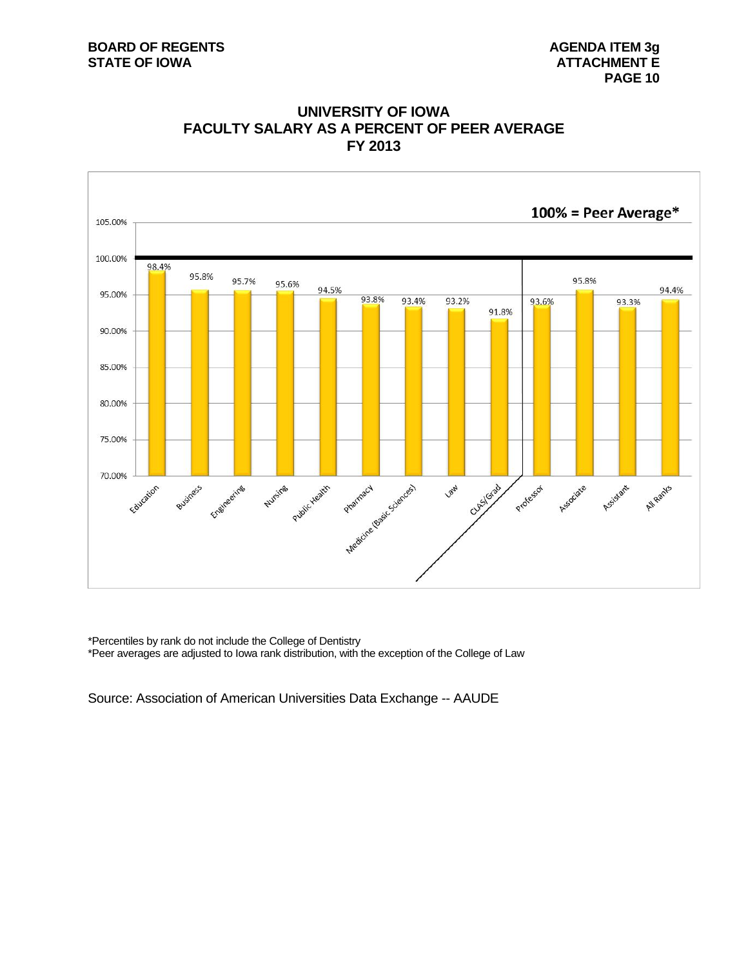### **BOARD OF REGENTS** AGENDA ITEM 3g **STATE OF IOWA** AND **ATTACHMENT E**



### **UNIVERSITY OF IOWA FACULTY SALARY AS A PERCENT OF PEER AVERAGE FY 2013**

\*Percentiles by rank do not include the College of Dentistry \*Peer averages are adjusted to Iowa rank distribution, with the exception of the College of Law

Source: Association of American Universities Data Exchange -- AAUDE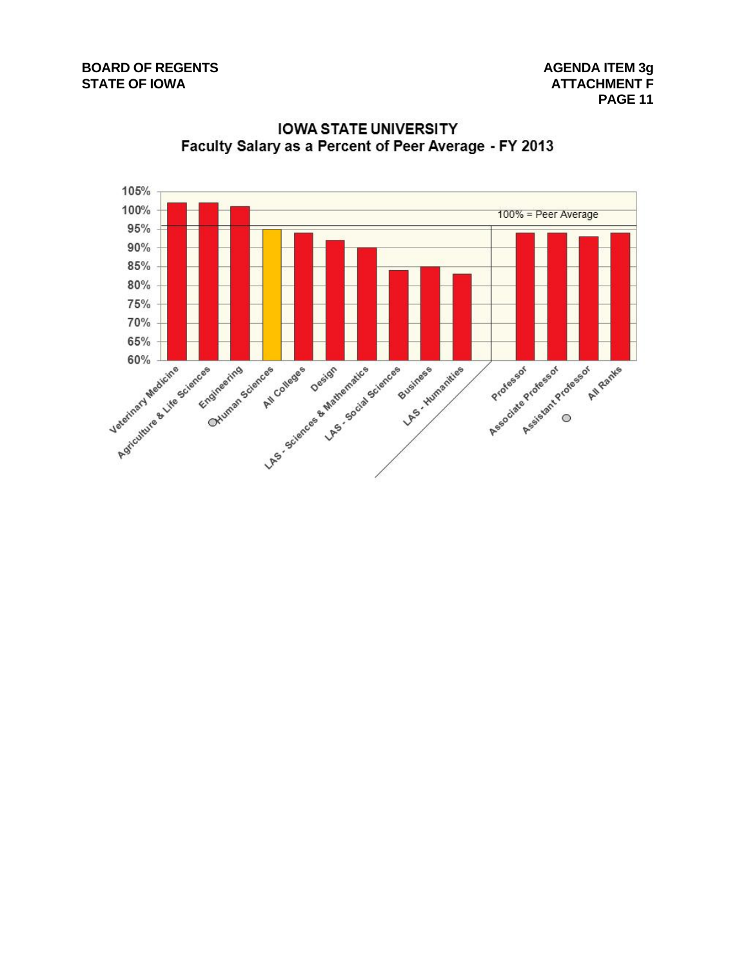

**IOWA STATE UNIVERSITY** Faculty Salary as a Percent of Peer Average - FY 2013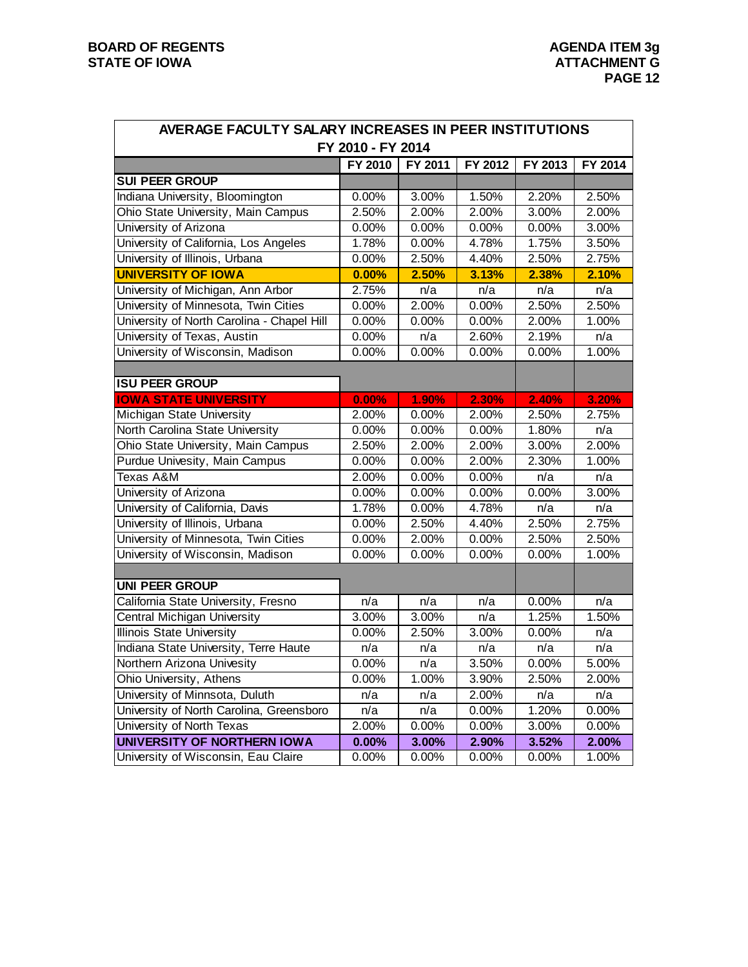| AVERAGE FACULTY SALARY INCREASES IN PEER INSTITUTIONS |                   |         |         |                  |         |
|-------------------------------------------------------|-------------------|---------|---------|------------------|---------|
|                                                       | FY 2010 - FY 2014 |         |         |                  |         |
|                                                       | FY 2010           | FY 2011 | FY 2012 | FY 2013          | FY 2014 |
| <b>SUI PEER GROUP</b>                                 |                   |         |         |                  |         |
| Indiana University, Bloomington                       | 0.00%             | 3.00%   | 1.50%   | 2.20%            | 2.50%   |
| Ohio State University, Main Campus                    | 2.50%             | 2.00%   | 2.00%   | 3.00%            | 2.00%   |
| University of Arizona                                 | 0.00%             | 0.00%   | 0.00%   | 0.00%            | 3.00%   |
| University of California, Los Angeles                 | 1.78%             | 0.00%   | 4.78%   | 1.75%            | 3.50%   |
| University of Illinois, Urbana                        | 0.00%             | 2.50%   | 4.40%   | 2.50%            | 2.75%   |
| <b>UNIVERSITY OF IOWA</b>                             | 0.00%             | 2.50%   | 3.13%   | 2.38%            | 2.10%   |
| University of Michigan, Ann Arbor                     | 2.75%             | n/a     | n/a     | n/a              | n/a     |
| University of Minnesota, Twin Cities                  | 0.00%             | 2.00%   | 0.00%   | 2.50%            | 2.50%   |
| University of North Carolina - Chapel Hill            | 0.00%             | 0.00%   | 0.00%   | 2.00%            | 1.00%   |
| University of Texas, Austin                           | 0.00%             | n/a     | 2.60%   | 2.19%            | n/a     |
| University of Wisconsin, Madison                      | 0.00%             | 0.00%   | 0.00%   | 0.00%            | 1.00%   |
|                                                       |                   |         |         |                  |         |
| <b>ISU PEER GROUP</b>                                 |                   |         |         |                  |         |
| <b>IOWA STATE UNIVERSITY</b>                          | 0.00%             | 1.90%   | 2.30%   | 2.40%            | 3.20%   |
| Michigan State University                             | 2.00%             | 0.00%   | 2.00%   | 2.50%            | 2.75%   |
| North Carolina State University                       | 0.00%             | 0.00%   | 0.00%   | 1.80%            | n/a     |
| Ohio State University, Main Campus                    | 2.50%             | 2.00%   | 2.00%   | 3.00%            | 2.00%   |
| <b>Purdue Univesity, Main Campus</b>                  | 0.00%             | 0.00%   | 2.00%   | 2.30%            | 1.00%   |
| Texas A&M                                             | 2.00%             | 0.00%   | 0.00%   | n/a              | n/a     |
| University of Arizona                                 | 0.00%             | 0.00%   | 0.00%   | 0.00%            | 3.00%   |
| University of California, Davis                       | 1.78%             | 0.00%   | 4.78%   | $\overline{n}/a$ | n/a     |
| University of Illinois, Urbana                        | 0.00%             | 2.50%   | 4.40%   | 2.50%            | 2.75%   |
| University of Minnesota, Twin Cities                  | 0.00%             | 2.00%   | 0.00%   | 2.50%            | 2.50%   |
| University of Wisconsin, Madison                      | 0.00%             | 0.00%   | 0.00%   | 0.00%            | 1.00%   |
|                                                       |                   |         |         |                  |         |
| <b>UNI PEER GROUP</b>                                 |                   |         |         |                  |         |
| California State University, Fresno                   | n/a               | n/a     | n/a     | 0.00%            | n/a     |
| Central Michigan University                           | 3.00%             | 3.00%   | n/a     | 1.25%            | 1.50%   |
| <b>Illinois State University</b>                      | 0.00%             | 2.50%   | 3.00%   | 0.00%            | n/a     |
| Indiana State University, Terre Haute                 | n/a               | n/a     | n/a     | n/a              | n/a     |
| Northern Arizona Univesity                            | $0.00\%$          | n/a     | 3.50%   | $0.00\%$         | 5.00%   |
| Ohio University, Athens                               | 0.00%             | 1.00%   | 3.90%   | 2.50%            | 2.00%   |
| University of Minnsota, Duluth                        | n/a               | n/a     | 2.00%   | n/a              | n/a     |
| University of North Carolina, Greensboro              | n/a               | n/a     | 0.00%   | 1.20%            | 0.00%   |
| University of North Texas                             | 2.00%             | 0.00%   | 0.00%   | 3.00%            | 0.00%   |
| UNIVERSITY OF NORTHERN IOWA                           | 0.00%             | 3.00%   | 2.90%   | 3.52%            | 2.00%   |
| University of Wisconsin, Eau Claire                   | 0.00%             | 0.00%   | 0.00%   | 0.00%            | 1.00%   |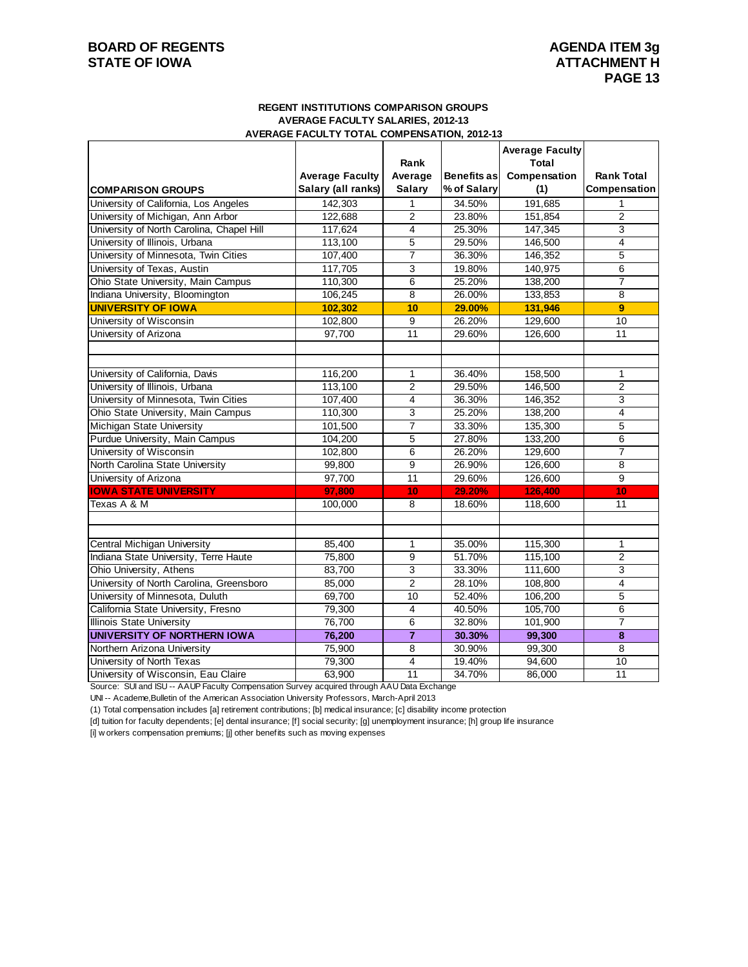### **BOARD OF REGENTS** AGENDA ITEM 3g **STATE OF IOWA ATTACHMENT H**

### **REGENT INSTITUTIONS COMPARISON GROUPS AVERAGE FACULTY SALARIES, 2012-13 AVERAGE FACULTY TOTAL COMPENSATION, 2012-13**

|                                                                 |                        | Rank                |             | <b>Average Faculty</b><br>Total |                   |
|-----------------------------------------------------------------|------------------------|---------------------|-------------|---------------------------------|-------------------|
|                                                                 | <b>Average Faculty</b> | Average             | Benefits as | Compensation                    | <b>Rank Total</b> |
| <b>COMPARISON GROUPS</b>                                        | Salary (all ranks)     | <b>Salary</b>       | % of Salary | (1)                             | Compensation      |
| University of California, Los Angeles                           | 142,303                | $\mathbf{1}$        | 34.50%      | 191,685                         |                   |
| University of Michigan, Ann Arbor                               | 122,688                | $\overline{2}$      | 23.80%      | 151,854                         | $\overline{2}$    |
| University of North Carolina, Chapel Hill                       | 117,624                | $\overline{4}$      | 25.30%      | 147,345                         | 3                 |
| University of Illinois, Urbana                                  | 113,100                | 5                   | 29.50%      | 146,500                         | 4                 |
| University of Minnesota, Twin Cities                            | 107,400                | $\overline{7}$      | 36.30%      | 146,352                         | 5                 |
| University of Texas, Austin                                     | 117,705                | 3                   | 19.80%      | 140,975                         | $\overline{6}$    |
| Ohio State University, Main Campus                              | 110,300                | 6                   | 25.20%      | 138,200                         | $\overline{7}$    |
| Indiana University, Bloomington                                 | 106,245                | 8                   | 26.00%      | 133,853                         | 8                 |
| <b>UNIVERSITY OF IOWA</b>                                       | 102,302                | 10                  | 29.00%      | 131,946                         | 9                 |
| University of Wisconsin                                         | 102,800                | 9                   | 26.20%      | 129,600                         | $\overline{10}$   |
| University of Arizona                                           | 97,700                 | 11                  | 29.60%      | 126,600                         | 11                |
|                                                                 |                        |                     |             |                                 |                   |
| University of California, Davis                                 | 116,200                | 1                   | 36.40%      | 158,500                         | $\mathbf{1}$      |
| University of Illinois, Urbana                                  | 113,100                | $\overline{2}$      | 29.50%      | 146,500                         | $\overline{2}$    |
| University of Minnesota, Twin Cities                            | 107,400                | 4                   | 36.30%      | 146,352                         | 3                 |
| Ohio State University, Main Campus                              | 110,300                | 3                   | 25.20%      | 138,200                         | 4                 |
| Michigan State University                                       | 101,500                | $\overline{7}$      | 33.30%      | 135.300                         | 5                 |
| Purdue University, Main Campus                                  | 104,200                | 5                   | 27.80%      | 133,200                         | 6                 |
| University of Wisconsin                                         | 102,800                | 6                   | 26.20%      | 129,600                         | $\overline{7}$    |
| North Carolina State University                                 | 99,800                 | 9                   | 26.90%      | 126,600                         | 8                 |
| University of Arizona                                           | 97,700                 | 11                  | 29.60%      | 126,600                         | 9                 |
| <b>IOWA STATE UNIVERSITY</b>                                    | 97.800                 | 10                  | 29.20%      | 126,400                         | 10                |
| Texas A & M                                                     | 100,000                | 8                   | 18.60%      | 118,600                         | 11                |
| Central Michigan University                                     | 85,400                 | 1                   | 35.00%      | 115,300                         | $\mathbf{1}$      |
| Indiana State University, Terre Haute                           |                        | 9                   | 51.70%      | 115,100                         | $\overline{2}$    |
| Ohio University, Athens                                         | 75,800<br>83,700       |                     | 33.30%      | 111,600                         | 3                 |
| University of North Carolina, Greensboro                        | 85,000                 | 3<br>$\overline{2}$ | 28.10%      | 108,800                         | 4                 |
| University of Minnesota, Duluth                                 | 69,700                 | $\overline{10}$     | 52.40%      |                                 | 5                 |
| California State University, Fresno                             | 79,300                 | $\overline{4}$      | 40.50%      | 106,200<br>105,700              | 6                 |
|                                                                 |                        |                     | 32.80%      |                                 | $\overline{7}$    |
| Illinois State University<br><b>UNIVERSITY OF NORTHERN IOWA</b> | 76,700<br>76,200       | 6<br>$\overline{7}$ | 30.30%      | 101,900<br>99,300               | 8                 |
| Northern Arizona University                                     | 75,900                 | $\overline{8}$      | 30.90%      | 99,300                          | 8                 |
| University of North Texas                                       | 79,300                 | $\overline{4}$      | 19.40%      | 94,600                          | 10                |
| University of Wisconsin, Eau Claire                             | 63,900                 | 11                  | 34.70%      | 86,000                          | 11                |
|                                                                 |                        |                     |             |                                 |                   |

Source: SUI and ISU -- AAUP Faculty Compensation Survey acquired through AAU Data Exchange

UNI -- Academe,Bulletin of the American Association University Professors, March-April 2013

(1) Total compensation includes [a] retirement contributions; [b] medical insurance; [c] disability income protection

[d] tuition for faculty dependents; [e] dental insurance; [f] social security; [g] unemployment insurance; [h] group life insurance

[i] w orkers compensation premiums; [j] other benefits such as moving expenses